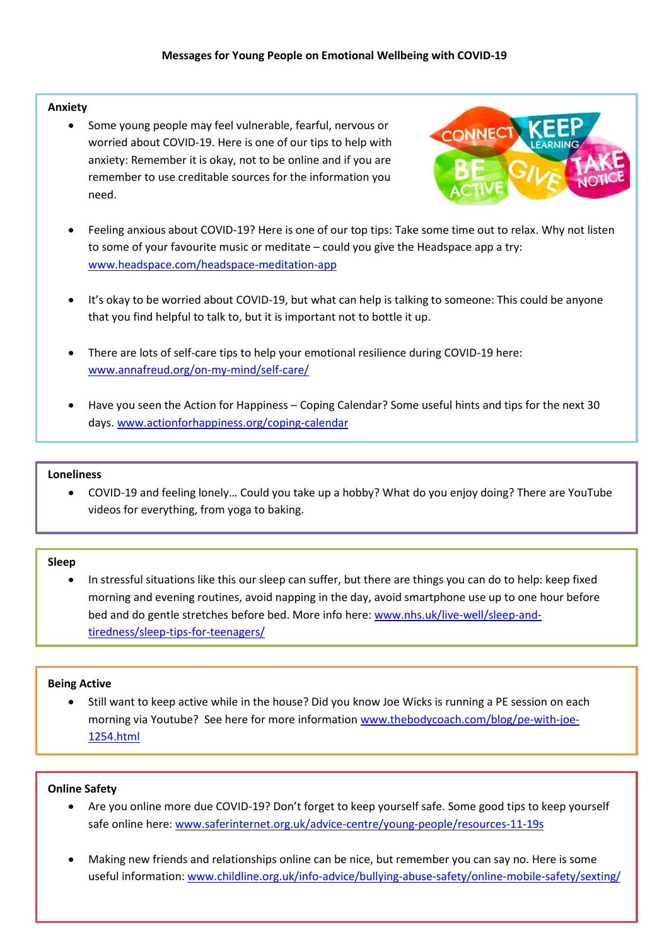## **Anxiety**

 Some young people may feel vulnerable, fearful, nervous or worried about COVID-19. Here is one of our tips to help with anxiety: Remember it is okay, not to be online and if you are remember to use creditable sources for the information you need.



- Feeling anxious about COVID-19? Here is one of our top tips: Take some time out to relax. Why not listen to some of your favourite music or meditate – could you give the Headspace app a try: [www.headspace.com/headspace-meditation-app](https://www.headspace.com/headspace-meditation-app)
- It's okay to be worried about COVID-19, but what can help is talking to someone: This could be anyone that you find helpful to talk to, but it is important not to bottle it up.
- There are lots of self-care tips to help your emotional resilience during COVID-19 here: [www.annafreud.org/on-my-mind/self-care/](https://www.annafreud.org/on-my-mind/self-care/)
- Have you seen the Action for Happiness Coping Calendar? Some useful hints and tips for the next 30 days. [www.actionforhappiness.org/coping-calendar](https://www.actionforhappiness.org/coping-calendar)

#### **Loneliness**

 COVID-19 and feeling lonely… Could you take up a hobby? What do you enjoy doing? There are YouTube videos for everything, from yoga to baking.

### **Sleep**

 In stressful situations like this our sleep can suffer, but there are things you can do to help: keep fixed morning and evening routines, avoid napping in the day, avoid smartphone use up to one hour before bed and do gentle stretches before bed. More info here: [www.nhs.uk/live-well/sleep-and](http://www.nhs.uk/live-well/sleep-and-tiredness/sleep-tips-for-teenagers/)[tiredness/sleep-tips-for-teenagers/](http://www.nhs.uk/live-well/sleep-and-tiredness/sleep-tips-for-teenagers/)

### **Being Active**

 Still want to keep active while in the house? Did you know Joe Wicks is running a PE session on each morning via Youtube? See here for more informatio[n www.thebodycoach.com/blog/pe-with-joe-](http://www.thebodycoach.com/blog/pe-with-joe-1254.html)[1254.html](http://www.thebodycoach.com/blog/pe-with-joe-1254.html)

### **Online Safety**

- Are you online more due COVID-19? Don't forget to keep yourself safe. Some good tips to keep yourself safe online here: [www.saferinternet.org.uk/advice-centre/young-people/resources-11-19s](http://www.saferinternet.org.uk/advice-centre/young-people/resources-11-19s)
- Making new friends and relationships online can be nice, but remember you can say no. Here is some useful information: [www.childline.org.uk/info-advice/bullying-abuse-safety/online-mobile-safety/sexting/](http://www.childline.org.uk/info-advice/bullying-abuse-safety/online-mobile-safety/sexting/)